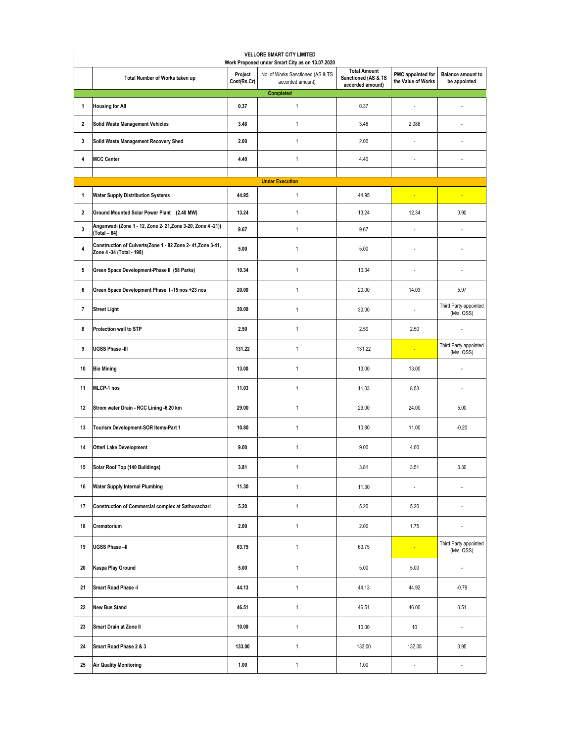| Total Number of Works taken up                                                                | Project<br>Cost(Rs.Cr) | No. of Works Sanctioned (AS & TS<br>accorded amount)<br><b>Completed</b> | <b>Total Amount</b><br>Sanctioned (AS & TS<br>accorded amount) | PMC appointed for<br>the Value of Works | <b>Balance amount to</b><br>be appointed |  |  |  |  |  |
|-----------------------------------------------------------------------------------------------|------------------------|--------------------------------------------------------------------------|----------------------------------------------------------------|-----------------------------------------|------------------------------------------|--|--|--|--|--|
| <b>Housing for All</b><br>1                                                                   | 0.37                   | $\mathbf{1}$                                                             | 0.37                                                           | ä,                                      | ×,                                       |  |  |  |  |  |
| $\overline{\mathbf{2}}$<br><b>Solid Waste Management Vehicles</b>                             | 3.48                   | $\mathbf{1}$                                                             | 3.48                                                           | 2.088                                   | ä,                                       |  |  |  |  |  |
| Solid Waste Management Recovery Shed<br>3                                                     | 2.00                   | $\mathbf{1}$                                                             | 2.00                                                           | ä,                                      | $\overline{\phantom{a}}$                 |  |  |  |  |  |
| <b>MCC Center</b><br>4                                                                        | 4.40                   | $\mathbf{1}$                                                             | 4.40                                                           | $\sim$                                  | $\overline{\phantom{a}}$                 |  |  |  |  |  |
| <b>Under Execution</b>                                                                        |                        |                                                                          |                                                                |                                         |                                          |  |  |  |  |  |
| <b>Water Supply Distribution Systems</b><br>1                                                 | 44.95                  | $\mathbf{1}$                                                             | 44.95                                                          | ٠                                       | ٠                                        |  |  |  |  |  |
| Ground Mounted Solar Power Plant (2.40 MW)<br>$\overline{2}$                                  | 13.24                  | $\mathbf{1}$                                                             | 13.24                                                          | 12.34                                   | 0.90                                     |  |  |  |  |  |
| Anganwadi (Zone 1 - 12, Zone 2- 21, Zone 3-20, Zone 4 - 21))<br>$\mathbf 3$<br>$(Total - 64)$ | 9.67                   | $\mathbf{1}$                                                             | 9.67                                                           | ä,                                      |                                          |  |  |  |  |  |
| Construction of Culverts(Zone 1 - 82 Zone 2- 41, Zone 3-41,<br>4<br>Zone 4 -34 (Total - 198)  | 5.00                   | $\mathbf{1}$                                                             | 5.00                                                           | ÷.                                      | ÷.                                       |  |  |  |  |  |
| 5<br>Green Space Development-Phase II (58 Parks)                                              | 10.34                  | $\mathbf{1}$                                                             | 10.34                                                          | ÷.                                      | ٠                                        |  |  |  |  |  |
| Green Space Development Phase 1-15 nos +23 nos<br>6                                           | 20.00                  | $\mathbf{1}$                                                             | 20.00                                                          | 14.03                                   | 5.97                                     |  |  |  |  |  |
| $\overline{7}$<br><b>Street Light</b>                                                         | 30.00                  | $\mathbf{1}$                                                             | 30.00                                                          | $\sim$                                  | Third Party appointed<br>(M/s. QSS)      |  |  |  |  |  |
| Protection wall to STP<br>8                                                                   | 2.50                   | $\mathbf{1}$                                                             | 2.50                                                           | 2.50                                    | ٠                                        |  |  |  |  |  |
| <b>UGSS Phase -III</b><br>9                                                                   | 131.22                 | $\mathbf{1}$                                                             | 131.22                                                         | ٠                                       | Third Party appointed<br>(M/s. QSS)      |  |  |  |  |  |
| <b>Bio Mining</b><br>10                                                                       | 13.00                  | $\mathbf{1}$                                                             | 13.00                                                          | 13.00                                   |                                          |  |  |  |  |  |
| MLCP-1 nos<br>11                                                                              | 11.03                  | $\mathbf{1}$                                                             | 11.03                                                          | 8.53                                    | $\overline{\phantom{a}}$                 |  |  |  |  |  |
| Strom water Drain - RCC Lining -6.20 km<br>12                                                 | 29.00                  | $\mathbf{1}$                                                             | 29.00                                                          | 24.00                                   | 5.00                                     |  |  |  |  |  |
| Tourism Development-SOR Items-Part 1<br>13                                                    | 10.80                  | $\mathbf{1}$                                                             | 10.80                                                          | 11.00                                   | $-0.20$                                  |  |  |  |  |  |
| <b>Otteri Lake Development</b><br>14                                                          | 9.00                   | $\mathbf{1}$                                                             | 9.00                                                           | 4.00                                    |                                          |  |  |  |  |  |
| Solar Roof Top (140 Buildings)<br>15                                                          | 3.81                   | $\mathbf{1}$                                                             | 3.81                                                           | 3.51                                    | 0.30                                     |  |  |  |  |  |
| <b>Water Supply Internal Plumbing</b><br>16                                                   | 11.30                  | $\mathbf{1}$                                                             | 11.30                                                          | $\overline{\phantom{a}}$                |                                          |  |  |  |  |  |
| Construction of Commercial complex at Sathuvachari<br>17                                      | 5.20                   | $\mathbf{1}$                                                             | 5.20                                                           | 5.20                                    | $\overline{\phantom{a}}$                 |  |  |  |  |  |
| 18<br>Crematorium                                                                             | 2.00                   | $\mathbf{1}$                                                             | 2.00                                                           | 1.75                                    | ä,                                       |  |  |  |  |  |
| UGSS Phase-II<br>19                                                                           | 63.75                  | $\mathbf{1}$                                                             | 63.75                                                          | ä,                                      | Third Party appointed<br>(M/s. QSS)      |  |  |  |  |  |
| Kaspa Play Ground<br>20                                                                       | 5.00                   | $\mathbf{1}$                                                             | 5.00                                                           | 5.00                                    | ÷                                        |  |  |  |  |  |
| Smart Road Phase -I<br>21                                                                     | 44.13                  | $\mathbf{1}$                                                             | 44.13                                                          | 44.92                                   | $-0.79$                                  |  |  |  |  |  |
| <b>New Bus Stand</b><br>22                                                                    | 46.51                  | $\mathbf{1}$                                                             | 46.51                                                          | 46.00                                   | 0.51                                     |  |  |  |  |  |
| Smart Drain at Zone II<br>23                                                                  | 10.00                  | $\mathbf{1}$                                                             | 10.00                                                          | 10                                      | $\overline{\phantom{a}}$                 |  |  |  |  |  |
| Smart Road Phase 2 & 3<br>24                                                                  | 133.00                 | $\mathbf{1}$                                                             | 133.00                                                         | 132.05                                  | 0.95                                     |  |  |  |  |  |
| <b>Air Quality Monitoring</b><br>25                                                           | 1.00                   | $\mathbf{1}$                                                             | 1.00                                                           | $\Box$                                  | $\overline{\phantom{a}}$                 |  |  |  |  |  |